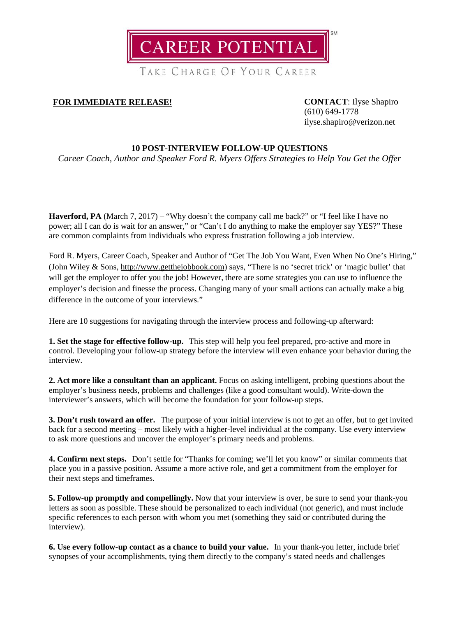

TAKE CHARGE OF YOUR CAREER

## **FOR IMMEDIATE RELEASE! CONTACT**: Ilyse Shapiro

(610) 649-1778 [ilyse.shapiro@verizon.net](mailto:ilyse.shapiro@verizon.net)

## **10 POST-INTERVIEW FOLLOW-UP QUESTIONS**

*Career Coach, Author and Speaker Ford R. Myers Offers Strategies to Help You Get the Offer*

**Haverford, PA** (March 7, 2017) – "Why doesn't the company call me back?" or "I feel like I have no power; all I can do is wait for an answer," or "Can't I do anything to make the employer say YES?" These are common complaints from individuals who express frustration following a job interview.

Ford R. Myers, Career Coach, Speaker and Author of "Get The Job You Want, Even When No One's Hiring," (John Wiley & Sons, [http://www.getthejobbook.com\)](http://www.getthejobbook.com/) says, "There is no 'secret trick' or 'magic bullet' that will get the employer to offer you the job! However, there are some strategies you can use to influence the employer's decision and finesse the process. Changing many of your small actions can actually make a big difference in the outcome of your interviews."

Here are 10 suggestions for navigating through the interview process and following-up afterward:

**1. Set the stage for effective follow-up.** This step will help you feel prepared, pro-active and more in control. Developing your follow-up strategy before the interview will even enhance your behavior during the interview.

**2. Act more like a consultant than an applicant.** Focus on asking intelligent, probing questions about the employer's business needs, problems and challenges (like a good consultant would). Write-down the interviewer's answers, which will become the foundation for your follow-up steps.

**3. Don't rush toward an offer.** The purpose of your initial interview is not to get an offer, but to get invited back for a second meeting – most likely with a higher-level individual at the company. Use every interview to ask more questions and uncover the employer's primary needs and problems.

**4. Confirm next steps.** Don't settle for "Thanks for coming; we'll let you know" or similar comments that place you in a passive position. Assume a more active role, and get a commitment from the employer for their next steps and timeframes.

**5. Follow-up promptly and compellingly.** Now that your interview is over, be sure to send your thank-you letters as soon as possible. These should be personalized to each individual (not generic), and must include specific references to each person with whom you met (something they said or contributed during the interview).

**6. Use every follow-up contact as a chance to build your value.** In your thank-you letter, include brief synopses of your accomplishments, tying them directly to the company's stated needs and challenges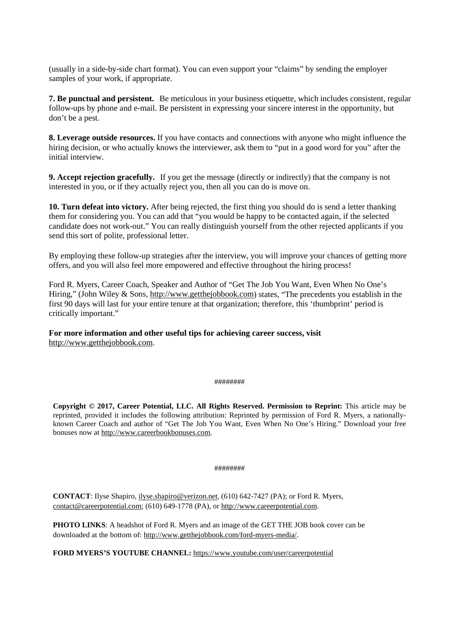(usually in a side-by-side chart format). You can even support your "claims" by sending the employer samples of your work, if appropriate.

**7. Be punctual and persistent.** Be meticulous in your business etiquette, which includes consistent, regular follow-ups by phone and e-mail. Be persistent in expressing your sincere interest in the opportunity, but don't be a pest.

**8. Leverage outside resources.** If you have contacts and connections with anyone who might influence the hiring decision, or who actually knows the interviewer, ask them to "put in a good word for you" after the initial interview.

**9. Accept rejection gracefully.** If you get the message (directly or indirectly) that the company is not interested in you, or if they actually reject you, then all you can do is move on.

**10. Turn defeat into victory.** After being rejected, the first thing you should do is send a letter thanking them for considering you. You can add that "you would be happy to be contacted again, if the selected candidate does not work-out." You can really distinguish yourself from the other rejected applicants if you send this sort of polite, professional letter.

By employing these follow-up strategies after the interview, you will improve your chances of getting more offers, and you will also feel more empowered and effective throughout the hiring process!

Ford R. Myers, Career Coach, Speaker and Author of "Get The Job You Want, Even When No One's Hiring," (John Wiley & Sons, [http://www.getthejobbook.com\)](http://www.getthejobbook.com/) states, "The precedents you establish in the first 90 days will last for your entire tenure at that organization; therefore, this 'thumbprint' period is critically important."

**For more information and other useful tips for achieving career success, visit** [http://www.getthejobbook.com.](http://www.getthejobbook.com/)

## ########

**Copyright © 2017, Career Potential, LLC. All Rights Reserved. Permission to Reprint:** This article may be reprinted, provided it includes the following attribution: Reprinted by permission of Ford R. Myers, a nationallyknown Career Coach and author of "Get The Job You Want, Even When No One's Hiring." Download your free bonuses now at [http://www.careerbookbonuses.com.](http://www.careerbookbonuses.com/)

## ########

**CONTACT**: Ilyse Shapiro[, ilyse.shapiro@verizon.net,](mailto:ilyse.shapiro@verizon.net) (610) 642-7427 (PA); or Ford R. Myers, [contact@careerpotential.com;](mailto:contact@careerpotential.com) (610) 649-1778 (PA), or [http://www.careerpotential.com.](http://www.careerpotential.com/)

**PHOTO LINKS**: A headshot of Ford R. Myers and an image of the GET THE JOB book cover can be downloaded at the bottom of: [http://www.getthejobbook.com/ford-myers-media/.](http://www.getthejobbook.com/ford-myers-media/)

**FORD MYERS'S YOUTUBE CHANNEL:** <https://www.youtube.com/user/careerpotential>